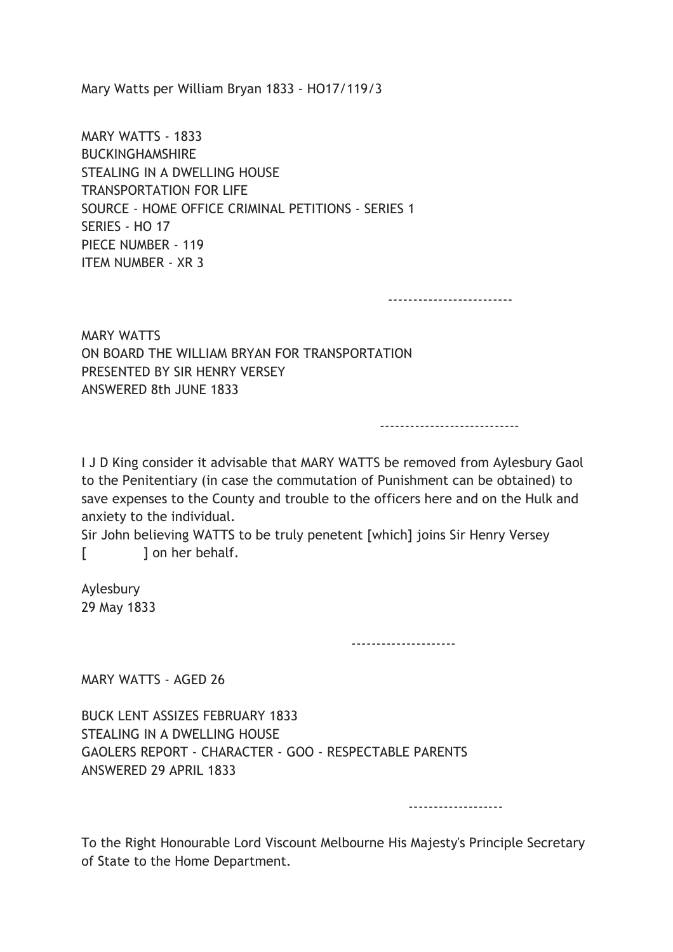Mary Watts per William Bryan 1833 - HO17/119/3

MARY WATTS - 1833 BUCKINGHAMSHIRE STEALING IN A DWELLING HOUSE TRANSPORTATION FOR LIFE SOURCE - HOME OFFICE CRIMINAL PETITIONS - SERIES 1 SERIES - HO 17 PIECE NUMBER - 119 ITEM NUMBER - XR 3

-------------------------

MARY WATTS ON BOARD THE WILLIAM BRYAN FOR TRANSPORTATION PRESENTED BY SIR HENRY VERSEY ANSWERED 8th JUNE 1833

----------------------------

-------------------

I J D King consider it advisable that MARY WATTS be removed from Aylesbury Gaol to the Penitentiary (in case the commutation of Punishment can be obtained) to save expenses to the County and trouble to the officers here and on the Hulk and anxiety to the individual.

Sir John believing WATTS to be truly penetent [which] joins Sir Henry Versey [ ] on her behalf.

Aylesbury 29 May 1833

---------------------

MARY WATTS - AGED 26

BUCK LENT ASSIZES FEBRUARY 1833 STEALING IN A DWELLING HOUSE GAOLERS REPORT - CHARACTER - GOO - RESPECTABLE PARENTS ANSWERED 29 APRIL 1833

To the Right Honourable Lord Viscount Melbourne His Majesty's Principle Secretary of State to the Home Department.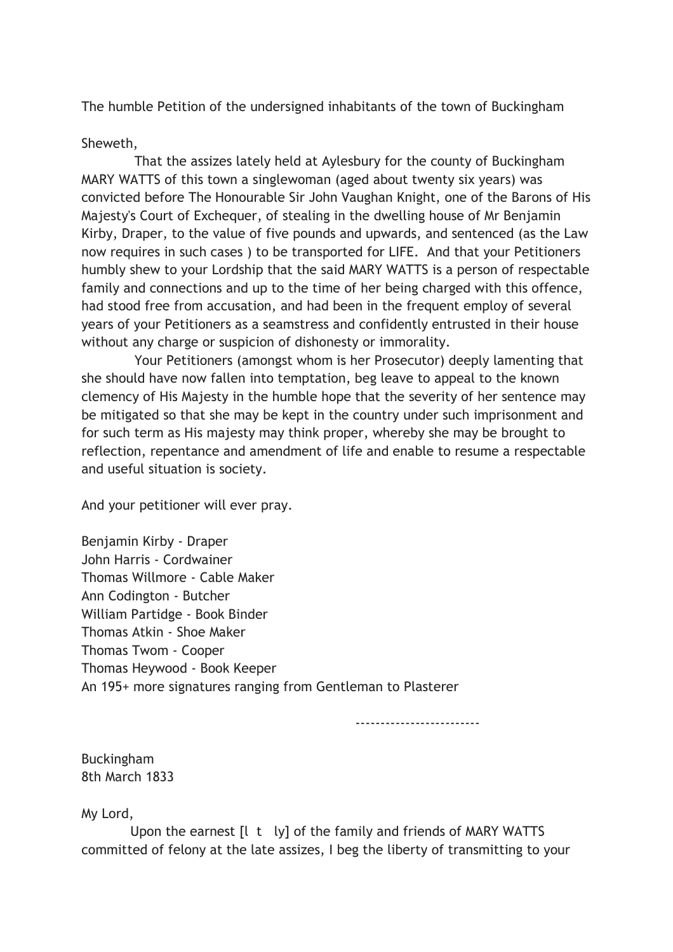The humble Petition of the undersigned inhabitants of the town of Buckingham

## Sheweth,

 That the assizes lately held at Aylesbury for the county of Buckingham MARY WATTS of this town a singlewoman (aged about twenty six years) was convicted before The Honourable Sir John Vaughan Knight, one of the Barons of His Majesty's Court of Exchequer, of stealing in the dwelling house of Mr Benjamin Kirby, Draper, to the value of five pounds and upwards, and sentenced (as the Law now requires in such cases ) to be transported for LIFE. And that your Petitioners humbly shew to your Lordship that the said MARY WATTS is a person of respectable family and connections and up to the time of her being charged with this offence, had stood free from accusation, and had been in the frequent employ of several years of your Petitioners as a seamstress and confidently entrusted in their house without any charge or suspicion of dishonesty or immorality.

 Your Petitioners (amongst whom is her Prosecutor) deeply lamenting that she should have now fallen into temptation, beg leave to appeal to the known clemency of His Majesty in the humble hope that the severity of her sentence may be mitigated so that she may be kept in the country under such imprisonment and for such term as His majesty may think proper, whereby she may be brought to reflection, repentance and amendment of life and enable to resume a respectable and useful situation is society.

And your petitioner will ever pray.

Benjamin Kirby - Draper John Harris - Cordwainer Thomas Willmore - Cable Maker Ann Codington - Butcher William Partidge - Book Binder Thomas Atkin - Shoe Maker Thomas Twom - Cooper Thomas Heywood - Book Keeper An 195+ more signatures ranging from Gentleman to Plasterer

-------------------------

Buckingham 8th March 1833

My Lord,

Upon the earnest [I t ly] of the family and friends of MARY WATTS committed of felony at the late assizes, I beg the liberty of transmitting to your